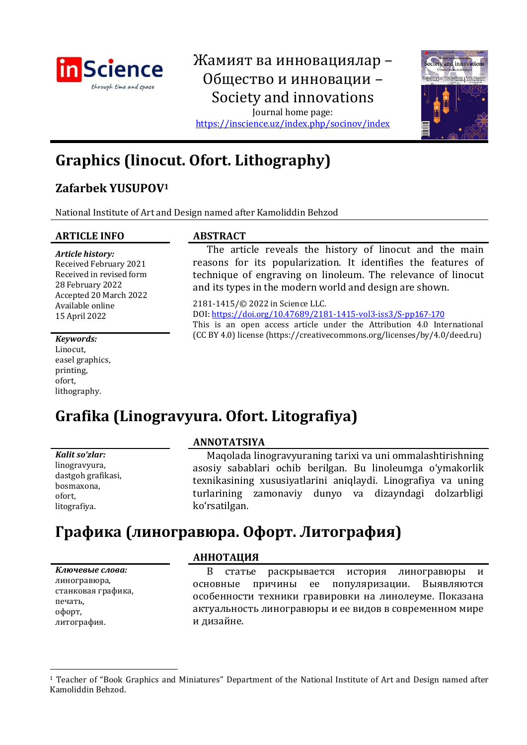

## Жамият ва инновациялар – Общество и инновации – Society and innovations Journal home page:

<https://inscience.uz/index.php/socinov/index>



# **Graphics (linocut. Ofort. Lithography)**

## **Zafarbek YUSUPOV<sup>1</sup>**

National Institute of Art and Design named after Kamoliddin Behzod

#### **ARTICLE INFO ABSTRACT**

*Article history:* Received February 2021 Received in revised form 28 February 2022 Accepted 20 March 2022 Available online 15 April 2022

The article reveals the history of linocut and the main reasons for its popularization. It identifies the features of technique of engraving on linoleum. The relevance of linocut and its types in the modern world and design are shown.

2181-1415/© 2022 in Science LLC. DOI[: https://doi.org/10.47689/2181-1415-vol3-iss3/S-pp](https://doi.org/10.47689/2181-1415-vol3-iss3/S-pp116-125)167-1[70](https://doi.org/10.47689/2181-1415-vol3-iss3/S-pp116-125) This is an open access article under the Attribution 4.0 International (CC BY 4.0) license (https://creativecommons.org/licenses/by/4.0/deed.ru) *Keywords:*

Linocut, easel graphics, printing, ofort, lithography.

# **Grafika (Linogravyura. Ofort. Litografiya)**

| Kalit soʻzlar:     |
|--------------------|
| linogravyura,      |
| dastgoh grafikasi, |
| bosmaxona,         |
| ofort,             |
| litografiya.       |
|                    |

### **ANNOTATSIYA**

Maqolada linogravyuraning tarixi va uni ommalashtirishning asosiy sabablari ochib berilgan. Bu linoleumga o'ymakorlik texnikasining xususiyatlarini aniqlaydi. Linografiya va uning turlarining zamonaviy dunyo va dizayndagi dolzarbligi ko'rsatilgan.

## **Графика (линогравюра. Офорт. Литография)**

*Ключевые слова:* линогравюра, станковая графика, печать, офорт, литография.

## **АННОТАЦИЯ**

В статье раскрывается история линогравюры и основные причины ее популяризации. Выявляются особенности техники гравировки на линолеуме. Показана актуальность линогравюры и ее видов в современном мире и дизайне.

<sup>1</sup> Teacher of "Book Graphics and Miniatures" Department of the National Institute of Art and Design named after Kamoliddin Behzod.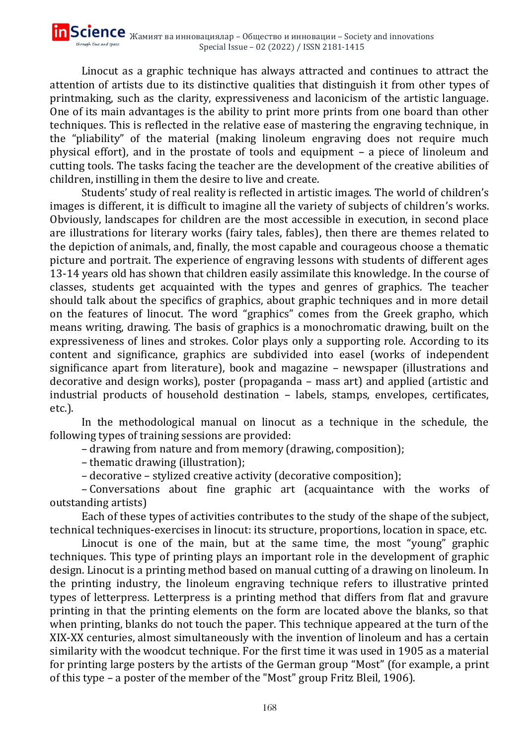Linocut as a graphic technique has always attracted and continues to attract the attention of artists due to its distinctive qualities that distinguish it from other types of printmaking, such as the clarity, expressiveness and laconicism of the artistic language. One of its main advantages is the ability to print more prints from one board than other techniques. This is reflected in the relative ease of mastering the engraving technique, in the "pliability" of the material (making linoleum engraving does not require much physical effort), and in the prostate of tools and equipment – a piece of linoleum and cutting tools. The tasks facing the teacher are the development of the creative abilities of children, instilling in them the desire to live and create.

Students' study of real reality is reflected in artistic images. The world of children's images is different, it is difficult to imagine all the variety of subjects of children's works. Obviously, landscapes for children are the most accessible in execution, in second place are illustrations for literary works (fairy tales, fables), then there are themes related to the depiction of animals, and, finally, the most capable and courageous choose a thematic picture and portrait. The experience of engraving lessons with students of different ages 13-14 years old has shown that children easily assimilate this knowledge. In the course of classes, students get acquainted with the types and genres of graphics. The teacher should talk about the specifics of graphics, about graphic techniques and in more detail on the features of linocut. The word "graphics" comes from the Greek grapho, which means writing, drawing. The basis of graphics is a monochromatic drawing, built on the expressiveness of lines and strokes. Color plays only a supporting role. According to its content and significance, graphics are subdivided into easel (works of independent significance apart from literature), book and magazine – newspaper (illustrations and decorative and design works), poster (propaganda – mass art) and applied (artistic and industrial products of household destination – labels, stamps, envelopes, certificates, etc.).

In the methodological manual on linocut as a technique in the schedule, the following types of training sessions are provided:

– drawing from nature and from memory (drawing, composition);

– thematic drawing (illustration);

– decorative – stylized creative activity (decorative composition);

– Conversations about fine graphic art (acquaintance with the works of outstanding artists)

Each of these types of activities contributes to the study of the shape of the subject, technical techniques-exercises in linocut: its structure, proportions, location in space, etc.

Linocut is one of the main, but at the same time, the most "young" graphic techniques. This type of printing plays an important role in the development of graphic design. Linocut is a printing method based on manual cutting of a drawing on linoleum. In the printing industry, the linoleum engraving technique refers to illustrative printed types of letterpress. Letterpress is a printing method that differs from flat and gravure printing in that the printing elements on the form are located above the blanks, so that when printing, blanks do not touch the paper. This technique appeared at the turn of the XIX-XX centuries, almost simultaneously with the invention of linoleum and has a certain similarity with the woodcut technique. For the first time it was used in 1905 as a material for printing large posters by the artists of the German group "Most" (for example, a print of this type – a poster of the member of the "Most" group Fritz Bleil, 1906).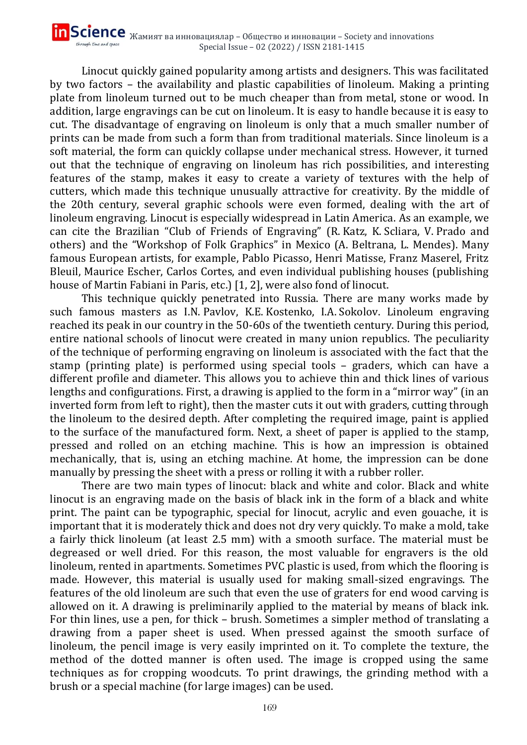Linocut quickly gained popularity among artists and designers. This was facilitated by two factors – the availability and plastic capabilities of linoleum. Making a printing plate from linoleum turned out to be much cheaper than from metal, stone or wood. In addition, large engravings can be cut on linoleum. It is easy to handle because it is easy to cut. The disadvantage of engraving on linoleum is only that a much smaller number of prints can be made from such a form than from traditional materials. Since linoleum is a soft material, the form can quickly collapse under mechanical stress. However, it turned out that the technique of engraving on linoleum has rich possibilities, and interesting features of the stamp, makes it easy to create a variety of textures with the help of cutters, which made this technique unusually attractive for creativity. By the middle of the 20th century, several graphic schools were even formed, dealing with the art of linoleum engraving. Linocut is especially widespread in Latin America. As an example, we can cite the Brazilian "Club of Friends of Engraving" (R. Katz, K. Scliara, V. Prado and others) and the "Workshop of Folk Graphics" in Mexico (A. Beltrana, L. Mendes). Many famous European artists, for example, Pablo Picasso, Henri Matisse, Franz Maserel, Fritz Bleuil, Maurice Escher, Carlos Cortes, and even individual publishing houses (publishing house of Martin Fabiani in Paris, etc.) [1, 2], were also fond of linocut.

This technique quickly penetrated into Russia. There are many works made by such famous masters as I.N. Pavlov, K.E. Kostenko, I.A. Sokolov. Linoleum engraving reached its peak in our country in the 50-60s of the twentieth century. During this period, entire national schools of linocut were created in many union republics. The peculiarity of the technique of performing engraving on linoleum is associated with the fact that the stamp (printing plate) is performed using special tools – graders, which can have a different profile and diameter. This allows you to achieve thin and thick lines of various lengths and configurations. First, a drawing is applied to the form in a "mirror way" (in an inverted form from left to right), then the master cuts it out with graders, cutting through the linoleum to the desired depth. After completing the required image, paint is applied to the surface of the manufactured form. Next, a sheet of paper is applied to the stamp, pressed and rolled on an etching machine. This is how an impression is obtained mechanically, that is, using an etching machine. At home, the impression can be done manually by pressing the sheet with a press or rolling it with a rubber roller.

There are two main types of linocut: black and white and color. Black and white linocut is an engraving made on the basis of black ink in the form of a black and white print. The paint can be typographic, special for linocut, acrylic and even gouache, it is important that it is moderately thick and does not dry very quickly. To make a mold, take a fairly thick linoleum (at least 2.5 mm) with a smooth surface. The material must be degreased or well dried. For this reason, the most valuable for engravers is the old linoleum, rented in apartments. Sometimes PVC plastic is used, from which the flooring is made. However, this material is usually used for making small-sized engravings. The features of the old linoleum are such that even the use of graters for end wood carving is allowed on it. A drawing is preliminarily applied to the material by means of black ink. For thin lines, use a pen, for thick – brush. Sometimes a simpler method of translating a drawing from a paper sheet is used. When pressed against the smooth surface of linoleum, the pencil image is very easily imprinted on it. To complete the texture, the method of the dotted manner is often used. The image is cropped using the same techniques as for cropping woodcuts. To print drawings, the grinding method with a brush or a special machine (for large images) can be used.